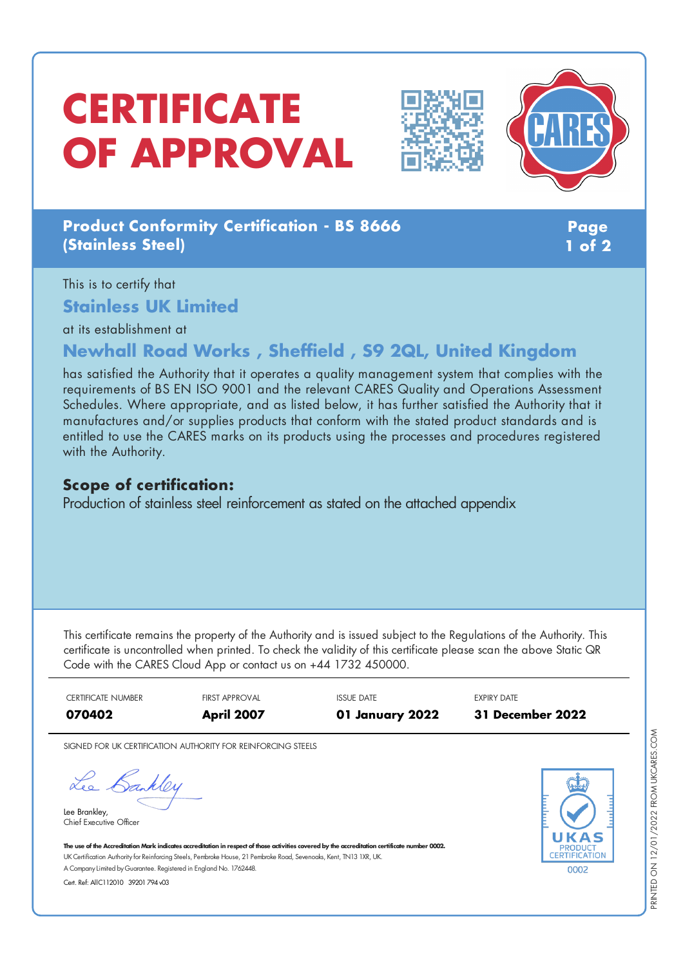# **CERTIFICATE OF APPROVAL**





## **Product Conformity Certification - BS 8666 (Stainless Steel)**

**Page 1 of 2**

## This is to certify that **Stainless UK Limited**

at its establishment at

# **Newhall Road Works , Sheffield , S9 2QL, United Kingdom**

has satisfied the Authority that it operates a quality management system that complies with the requirements of BS EN ISO 9001 and the relevant CARES Quality and Operations Assessment Schedules. Where appropriate, and as listed below, it has further satisfied the Authority that it manufactures and/or supplies products that conform with the stated product standards and is entitled to use the CARES marks on its products using the processes and procedures registered with the Authority.

#### **Scope of certification:**

Production of stainless steel reinforcement as stated on the attached appendix

This certificate remains the property of the Authority and is issued subject to the Regulations of the Authority. This certificate is uncontrolled when printed. To check the validity of this certificate please scan the above Static QR Code with the CARES Cloud App or contact us on +44 1732 450000.

CERTIFICATE NUMBER **FIRST APPROVAL ISSUE DATE EXPIRY DATE 070402 April 2007 01 January 2022 31 December 2022**

SIGNED FOR UK CERTIFICATION AUTHORITY FOR REINFORCING STEELS

Lee Bankley

Lee Brankley, Chief Executive Officer 0002

The use of the Accreditation Mark indicates accreditation in respect of those activities covered by the accreditation certificate number 0002. UK Certification Authority for Reinforcing Steels, Pembroke House, 21 Pembroke Road, Sevenoaks, Kent, TN13 1XR, UK. A CompanyLimited byGuarantee. Registered in England No. 1762448.

Cert. Ref: AllC112010 39201 794 v03